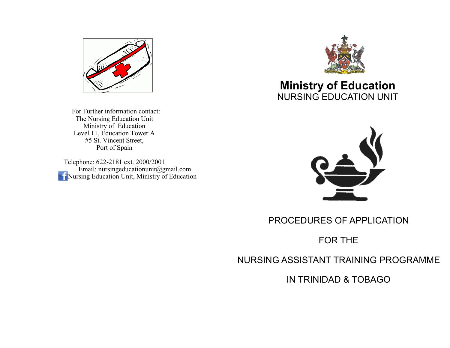

 For Further information contact: The Nursing Education Unit Ministry of Education Level 11, Education Tower A #5 St. Vincent Street, Port of Spain

Telephone: 622-2181 ext. 2000/2001 Email: nursingeducationunit@gmail.com **Nursing Education Unit, Ministry of Education** 



# **Ministry of Education** NURSING EDUCATION UNIT



PROCEDURES OF APPLICATION

# FOR THE

NURSING ASSISTANT TRAINING PROGRAMME

IN TRINIDAD & TOBAGO